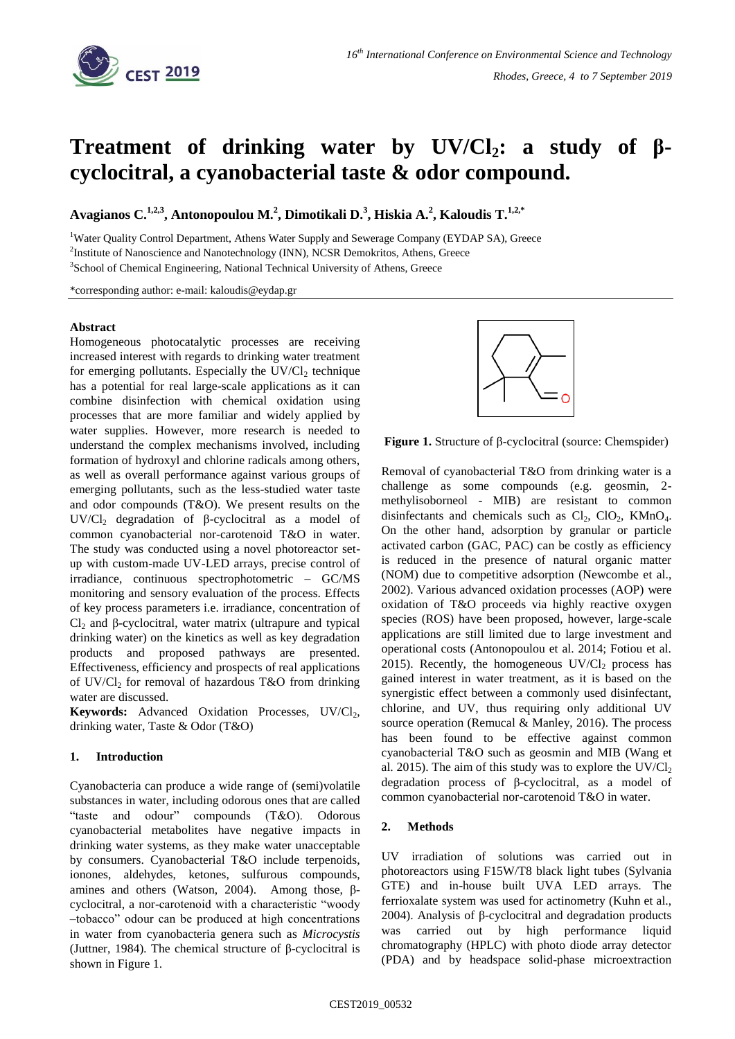

# **Treatment of drinking water by UV/Cl2: a study of βcyclocitral, a cyanobacterial taste & odor compound.**

**Avagianos C.1,2,3, Antonopoulou M.<sup>2</sup> , Dimotikali D.<sup>3</sup> , Hiskia A.<sup>2</sup> , Kaloudis T.1,2,\***

<sup>1</sup>Water Quality Control Department, Athens Water Supply and Sewerage Company (EYDAP SA), Greece <sup>2</sup>Institute of Nanoscience and Nanotechnology (INN), NCSR Demokritos, Athens, Greece <sup>3</sup>School of Chemical Engineering, National Technical University of Athens, Greece

\*corresponding author: e-mail: kaloudis@eydap.gr

### **Abstract**

Homogeneous photocatalytic processes are receiving increased interest with regards to drinking water treatment for emerging pollutants. Especially the  $UV/Cl<sub>2</sub>$  technique has a potential for real large-scale applications as it can combine disinfection with chemical oxidation using processes that are more familiar and widely applied by water supplies. However, more research is needed to understand the complex mechanisms involved, including formation of hydroxyl and chlorine radicals among others, as well as overall performance against various groups of emerging pollutants, such as the less-studied water taste and odor compounds (T&O). We present results on the UV/ $Cl_2$  degradation of β-cyclocitral as a model of common cyanobacterial nor-carotenoid T&O in water. The study was conducted using a novel photoreactor setup with custom-made UV-LED arrays, precise control of irradiance, continuous spectrophotometric – GC/MS monitoring and sensory evaluation of the process. Effects of key process parameters i.e. irradiance, concentration of  $Cl<sub>2</sub>$  and β-cyclocitral, water matrix (ultrapure and typical drinking water) on the kinetics as well as key degradation products and proposed pathways are presented. Effectiveness, efficiency and prospects of real applications of UV/Cl<sub>2</sub> for removal of hazardous T&O from drinking water are discussed.

Keywords: Advanced Oxidation Processes, UV/Cl<sub>2</sub>, drinking water, Taste & Odor (T&O)

### **1. Introduction**

Cyanobacteria can produce a wide range of (semi)volatile substances in water, including odorous ones that are called "taste and odour" compounds (T&O). Odorous cyanobacterial metabolites have negative impacts in drinking water systems, as they make water unacceptable by consumers. Cyanobacterial T&O include terpenoids, ionones, aldehydes, ketones, sulfurous compounds, amines and others (Watson, 2004). Among those, βcyclocitral, a nor-carotenoid with a characteristic "woody –tobacco" odour can be produced at high concentrations in water from cyanobacteria genera such as *Microcystis* (Juttner, 1984)*.* The chemical structure of β-cyclocitral is shown in Figure 1.



**Figure 1.** Structure of β-cyclocitral (source: Chemspider)

Removal of cyanobacterial T&O from drinking water is a challenge as some compounds (e.g. geosmin, 2 methylisoborneol - MIB) are resistant to common disinfectants and chemicals such as  $Cl_2$ ,  $ClO_2$ ,  $KMnO_4$ . On the other hand, adsorption by granular or particle activated carbon (GAC, PAC) can be costly as efficiency is reduced in the presence of natural organic matter (NOM) due to competitive adsorption (Newcombe et al., 2002). Various advanced oxidation processes (AOP) were oxidation of T&O proceeds via highly reactive oxygen species (ROS) have been proposed, however, large-scale applications are still limited due to large investment and operational costs (Antonopoulou et al. 2014; Fotiou et al. 2015). Recently, the homogeneous  $UV/Cl<sub>2</sub>$  process has gained interest in water treatment, as it is based on the synergistic effect between a commonly used disinfectant, chlorine, and UV, thus requiring only additional UV source operation (Remucal & Manley, 2016). The process has been found to be effective against common cyanobacterial T&O such as geosmin and MIB (Wang et al. 2015). The aim of this study was to explore the  $UV/Cl<sub>2</sub>$ degradation process of β-cyclocitral, as a model of common cyanobacterial nor-carotenoid T&O in water.

### **2. Methods**

UV irradiation of solutions was carried out in photoreactors using F15W/T8 black light tubes (Sylvania GTE) and in-house built UVA LED arrays. The ferrioxalate system was used for actinometry (Kuhn et al., 2004). Analysis of β-cyclocitral and degradation products was carried out by high performance liquid chromatography (HPLC) with photo diode array detector (PDA) and by headspace solid-phase microextraction